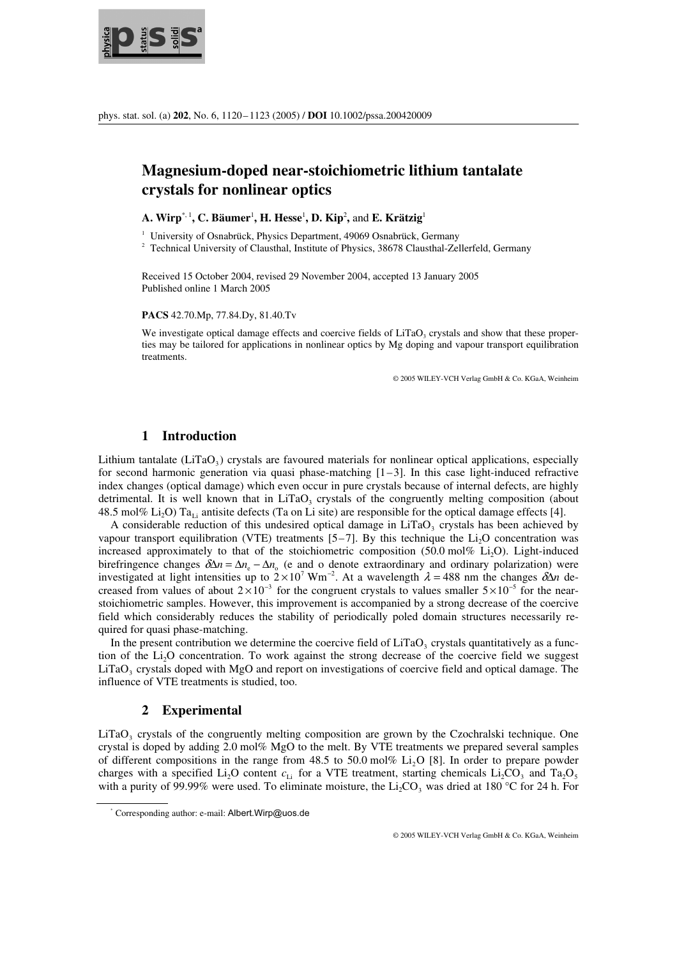

# **Magnesium-doped near-stoichiometric lithium tantalate crystals for nonlinear optics**

 $\mathbf{A}. \mathbf{Wirp}^{*,1}, \mathbf{C}. \mathbf{Bäumer}^1, \mathbf{H}. \mathbf{Hesse}^1, \mathbf{D}. \mathbf{Kip}^2, \text{and } \mathbf{E}. \mathbf{Krätzig}^1$ 

<sup>1</sup> University of Osnabrück, Physics Department, 49069 Osnabrück, Germany 2. Technical University of Clausthal Institute of Physics 28678 Clausthal Zal

<sup>2</sup> Technical University of Clausthal, Institute of Physics, 38678 Clausthal-Zellerfeld, Germany

Received 15 October 2004, revised 29 November 2004, accepted 13 January 2005 Published online 1 March 2005

**PACS** 42.70.Mp, 77.84.Dy, 81.40.Tv

We investigate optical damage effects and coercive fields of  $LiTaO<sub>3</sub>$  crystals and show that these properties may be tailored for applications in nonlinear optics by Mg doping and vapour transport equilibration treatments.

© 2005 WILEY-VCH Verlag GmbH & Co. KGaA, Weinheim

## **1 Introduction**

Lithium tantalate  $(LiTao<sub>3</sub>)$  crystals are favoured materials for nonlinear optical applications, especially for second harmonic generation via quasi phase-matching  $[1-3]$ . In this case light-induced refractive index changes (optical damage) which even occur in pure crystals because of internal defects, are highly detrimental. It is well known that in LiTaO<sub>3</sub> crystals of the congruently melting composition (about 48.5 mol% Li<sub>2</sub>O) Ta<sub>Li</sub> antisite defects (Ta on Li site) are responsible for the optical damage effects [4].

A considerable reduction of this undesired optical damage in  $LiTaO<sub>3</sub>$  crystals has been achieved by vapour transport equilibration (VTE) treatments  $[5-7]$ . By this technique the Li<sub>2</sub>O concentration was increased approximately to that of the stoichiometric composition  $(50.0 \text{ mol\% Li, O})$ . Light-induced birefringence changes  $\delta\Delta n = \Delta n_e - \Delta n_o$  (e and o denote extraordinary and ordinary polarization) were increased approximately to that of the stoichiom<br>birefringence changes  $\delta \Delta n = \Delta n_e - \Delta n_o$  (e and o d<br>investigated at light intensities up to  $2 \times 10^7$  Wm<sup>-2</sup> investigated at light intensities up to  $2 \times 10^7$  Wm<sup>-2</sup>. At a wavelength  $\lambda = 488$  nm the changes  $\delta \Delta n$  decreased from values of about  $2 \times 10^{-3}$  for the congruent crystals to values smaller  $5 \times 10^{-5}$  for the nearbirefringence changes  $\delta \Delta n = \Delta n_e - \Delta n_o$  (e and o denote extraordinary and ordinary polarization) were investigated at light intensities up to  $2 \times 10^7$  Wm<sup>-2</sup>. At a wavelength  $\lambda = 488$  nm the changes  $\delta \Delta n$  decreased f stoichiometric samples. However, this improvement is accompanied by a strong decrease of the coercive field which considerably reduces the stability of periodically poled domain structures necessarily required for quasi phase-matching.

In the present contribution we determine the coercive field of  $LiTaO<sub>3</sub>$  crystals quantitatively as a function of the Li<sub>2</sub>O concentration. To work against the strong decrease of the coercive field we suggest  $LiTaO<sub>3</sub>$  crystals doped with MgO and report on investigations of coercive field and optical damage. The influence of VTE treatments is studied, too.

### **2 Experimental**

LiTaO<sub>3</sub> crystals of the congruently melting composition are grown by the Czochralski technique. One crystal is doped by adding 2.0 mol% MgO to the melt. By VTE treatments we prepared several samples of different compositions in the range from  $48.5$  to  $50.0$  mol% Li<sub>2</sub>O [8]. In order to prepare powder charges with a specified Li<sub>2</sub>O content  $c_{1i}$  for a VTE treatment, starting chemicals Li<sub>2</sub>CO<sub>3</sub> and Ta<sub>2</sub>O<sub>5</sub> with a purity of 99.99% were used. To eliminate moisture, the  $Li_2CO_3$  was dried at 180 °C for 24 h. For

<sup>\*</sup> Corresponding author: e-mail: Albert.Wirp@uos.de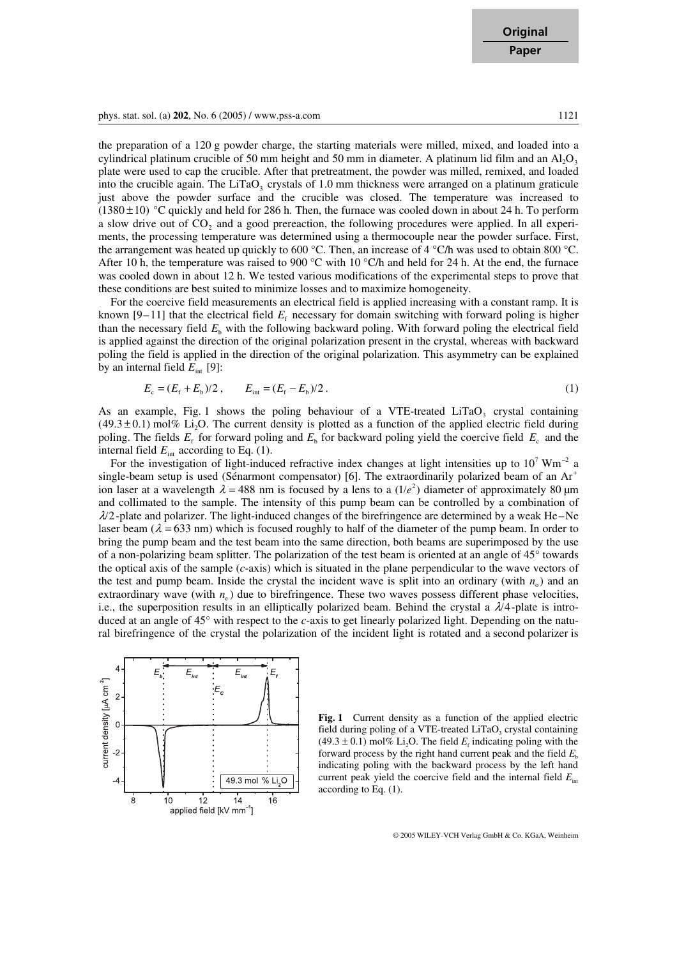**Original Paper**

phys. stat. sol. (a) **202**, No. 6 (2005) / www.pss-a.com 1121

the preparation of a 120 g powder charge, the starting materials were milled, mixed, and loaded into a cylindrical platinum crucible of 50 mm height and 50 mm in diameter. A platinum lid film and an  $A I_2 O_3$ plate were used to cap the crucible. After that pretreatment, the powder was milled, remixed, and loaded into the crucible again. The LiTaO<sub>3</sub> crystals of  $1.0 \text{ mm}$  thickness were arranged on a platinum graticule just above the powder surface and the crucible was closed. The temperature was increased to  $(1380 \pm 10)$  <sup>o</sup>C quickly and held for 286 h. Then, the furnace was cooled down in about 24 h. To perform a slow drive out of CO<sub>2</sub> and a good prereaction, the following procedures were applied. In all experiments, the processing temperature was determined using a thermocouple near the powder surface. First, the arrangement was heated up quickly to 600 °C. Then, an increase of 4 °C/h was used to obtain 800 °C. After 10 h, the temperature was raised to 900 °C with 10 °C/h and held for 24 h. At the end, the furnace was cooled down in about 12 h. We tested various modifications of the experimental steps to prove that these conditions are best suited to minimize losses and to maximize homogeneity.

 For the coercive field measurements an electrical field is applied increasing with a constant ramp. It is known  $[9-11]$  that the electrical field  $E<sub>f</sub>$  necessary for domain switching with forward poling is higher than the necessary field  $E<sub>b</sub>$  with the following backward poling. With forward poling the electrical field is applied against the direction of the original polarization present in the crystal, whereas with backward poling the field is applied in the direction of the original polarization. This asymmetry can be explained by an internal field  $E_{\text{int}}$  [9]:

$$
E_{\rm c} = (E_{\rm f} + E_{\rm b})/2 \,, \qquad E_{\rm int} = (E_{\rm f} - E_{\rm b})/2 \,. \tag{1}
$$

As an example, Fig. 1 shows the poling behaviour of a VTE-treated  $LiTaO<sub>3</sub>$  crystal containing  $(49.3 \pm 0.1)$  mol% Li<sub>2</sub>O. The current density is plotted as a function of the applied electric field during poling. The fields  $E_f$  for forward poling and  $E_b$  for backward poling yield the coercive field  $E_c$  and the<br>internal field  $E_{int}$  according to Eq. (1).<br>For the investigation of light-induced refractive index changes at internal field  $E_{\text{int}}$  according to Eq. (1).

For the investigation of light-induced refractive index changes at light intensities up to  $10^7$  Wm<sup>-2</sup> a single-beam setup is used (Sénarmont compensator) [6]. The extraordinarily polarized beam of an Ar*<sup>+</sup>* ion laser at a wavelength  $\lambda$  = 488 nm is focused by a lens to a  $(1/e^2)$  diameter of approximately 80 µm and collimated to the sample. The intensity of this pump beam can be controlled by a combination of *l/*2-plate and polarizer. The light-induced changes of the birefringence are determined by a weak He–Ne laser beam  $(\lambda = 633 \text{ nm})$  which is focused roughly to half of the diameter of the pump beam. In order to bring the pump beam and the test beam into the same direction, both beams are superimposed by the use of a non-polarizing beam splitter. The polarization of the test beam is oriented at an angle of 45° towards the optical axis of the sample (*c*-axis) which is situated in the plane perpendicular to the wave vectors of the test and pump beam. Inside the crystal the incident wave is split into an ordinary (with  $n<sub>o</sub>$ ) and an extraordinary wave (with  $n_e$ ) due to birefringence. These two waves possess different phase velocities, i.e., the superposition results in an elliptically polarized beam. Behind the crystal a  $\lambda/4$ -plate is introduced at an angle of 45° with respect to the *c*-axis to get linearly polarized light. Depending on the natural birefringence of the crystal the polarization of the incident light is rotated and a second polarizer is



**Fig. 1** Current density as a function of the applied electric field during poling of a VTE-treated  $LiTaO<sub>3</sub>$  crystal containing  $(49.3 \pm 0.1)$  mol% Li<sub>2</sub>O. The field  $E_f$  indicating poling with the forward process by the right hand current peak and the field  $E<sub>b</sub>$ indicating poling with the backward process by the left hand current peak yield the coercive field and the internal field  $E_{\text{int}}$ according to Eq. (1).

© 2005 WILEY-VCH Verlag GmbH & Co. KGaA, Weinheim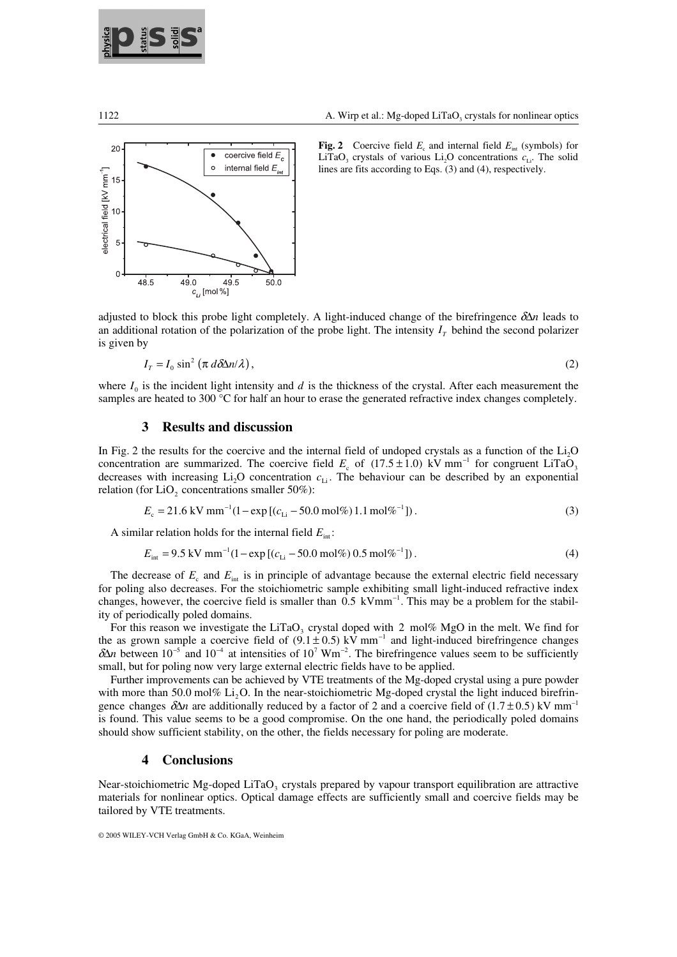



**Fig. 2** Coercive field  $E_c$  and internal field  $E_{int}$  (symbols) for LiTaO<sub>3</sub> crystals of various Li<sub>2</sub>O concentrations  $c_{\text{L}i}$ . The solid lines are fits according to Eqs. (3) and (4), respectively.

adjusted to block this probe light completely. A light-induced change of the birefringence  $\delta \Delta n$  leads to an additional rotation of the polarization of the probe light. The intensity  $I<sub>T</sub>$  behind the second polarizer is given by

$$
I_T = I_0 \sin^2 \left( \pi \, d \delta \Delta n / \lambda \right),\tag{2}
$$

where  $I_0$  is the incident light intensity and  $d$  is the thickness of the crystal. After each measurement the samples are heated to 300 °C for half an hour to erase the generated refractive index changes completely.

### **3 Results and discussion**

In Fig. 2 the results for the coercive and the internal field of undoped crystals as a function of the  $Li<sub>2</sub>O$ **concentration are summarized.** The coercive and the internal field of undoped crystals as a function of the Li<sub>2</sub>O concentration are summarized. The coercive field  $E_c$  of (17.5 ± 1.0) kV mm<sup>-1</sup> for congruent LiTaO<sub>3</sub> decreases with increasing Li<sub>2</sub>O concentration  $c_{Li}$ . The behaviour can be described by an exponential relation (for LiO<sub>2</sub> concentrations smaller 50%):<br> $E_c = 21.6 \text{ kV mm}^{-1} (1 - \exp[(c_{Li} - 50.0 \text{ mol\%})1.1 \text{ mol\%}^{-1}])$ . (3) relation (for LiO<sub>2</sub> concentrations smaller 50%):

$$
E_c = 21.6 \text{ kV mm}^{-1} (1 - \exp\left[ (c_{1i} - 50.0 \text{ mol\%}) 1.1 \text{ mol\%}^{-1} \right]). \tag{3}
$$

A similar relation holds for the internal field  $E_{int}$ :

ar relation holds for the internal field 
$$
E_{\text{int}}
$$
:  
\n $E_{\text{int}} = 9.5 \text{ kV mm}^{-1} (1 - \exp[(c_{\text{Li}} - 50.0 \text{ mol\%}) 0.5 \text{ mol\%}^{-1}])$ . (4)

The decrease of  $E_c$  and  $E_{\text{int}}$  is in principle of advantage because the external electric field necessary for poling also decreases. For the stoichiometric sample exhibiting small light-induced refractive index The decrease of  $E_c$  and  $E_{int}$  is in principle of advantage becaus for poling also decreases. For the stoichiometric sample exhibition changes, however, the coercive field is smaller than 0.5  $\text{kVmm}^{-1}$ changes, however, the coercive field is smaller than  $0.5 \text{ kVmm}^{-1}$ . This may be a problem for the stability of periodically poled domains.

For this reason we investigate the LiTaO<sub>3</sub> crystal doped with 2 mol% MgO in the melt. We find for the as grown sample a coercive field of  $(9.1 \pm 0.5)$  kV mm<sup>-1</sup> and light-induced birefringence changes the as grown sample a coercive field of  $(9.1 \pm 0.5)$  kV mm<sup>-1</sup> and light-induced birefringence changes For this reason we investigate the LiTaO<sub>3</sub> crystal d<br>the as grown sample a coercive field of  $(9.1 \pm 0.5)$  k<br> $\delta\Delta n$  between 10<sup>-5</sup> and 10<sup>-4</sup> at intensities of 10<sup>7</sup> Wm<sup>-2</sup>  $\delta\Delta n$  between 10<sup>-5</sup> and 10<sup>-4</sup> at intensities of 10<sup>7</sup> Wm<sup>-2</sup>. The birefringence values seem to be sufficiently small, but for poling now very large external electric fields have to be applied.

 Further improvements can be achieved by VTE treatments of the Mg-doped crystal using a pure powder with more than 50.0 mol% Li<sub>2</sub>O. In the near-stoichiometric Mg-doped crystal the light induced birefringence changes  $\delta\Delta n$  are additionally reduced by a factor of 2 and a coercive field of (1.7 ± 0.5) kV mm<sup>-1</sup> is found. This value seems to be a good compromise. On the one hand, the periodically poled domains should show sufficient stability, on the other, the fields necessary for poling are moderate.

#### **4 Conclusions**

Near-stoichiometric Mg-doped LiTaO<sub>3</sub> crystals prepared by vapour transport equilibration are attractive materials for nonlinear optics. Optical damage effects are sufficiently small and coercive fields may be tailored by VTE treatments.

<sup>© 2005</sup> WILEY-VCH Verlag GmbH & Co. KGaA, Weinheim